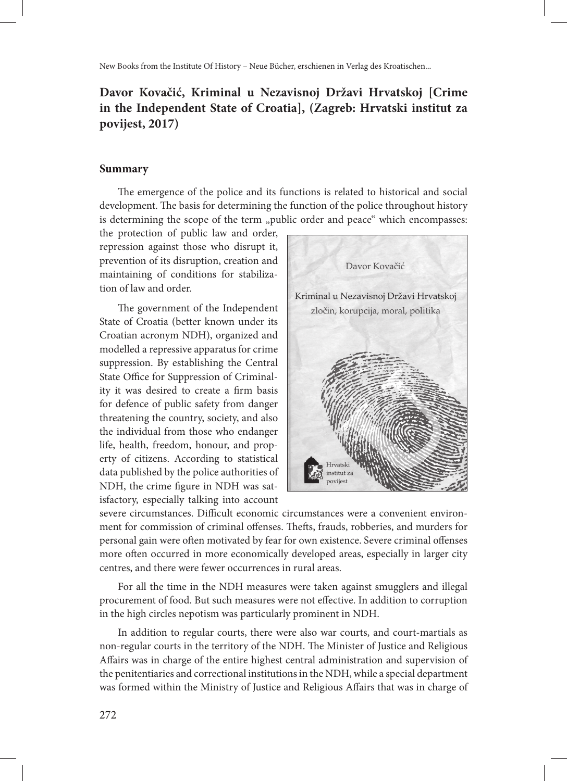New Books from the Institute Of History – Neue Bücher, erschienen in Verlag des Kroatischen...

## **Davor Kovačić, Kriminal u Nezavisnoj Državi Hrvatskoj [Crime in the Independent State of Croatia], (Zagreb: Hrvatski institut za povijest, 2017)**

## **Summary**

The emergence of the police and its functions is related to historical and social development. The basis for determining the function of the police throughout history is determining the scope of the term "public order and peace" which encompasses:

the protection of public law and order, repression against those who disrupt it, prevention of its disruption, creation and maintaining of conditions for stabilization of law and order.

The government of the Independent State of Croatia (better known under its Croatian acronym NDH), organized and modelled a repressive apparatus for crime suppression. By establishing the Central State Office for Suppression of Criminality it was desired to create a firm basis for defence of public safety from danger threatening the country, society, and also the individual from those who endanger life, health, freedom, honour, and property of citizens. According to statistical data published by the police authorities of NDH, the crime figure in NDH was satisfactory, especially talking into account



severe circumstances. Difficult economic circumstances were a convenient environment for commission of criminal offenses. Thefts, frauds, robberies, and murders for personal gain were often motivated by fear for own existence. Severe criminal offenses more often occurred in more economically developed areas, especially in larger city centres, and there were fewer occurrences in rural areas.

For all the time in the NDH measures were taken against smugglers and illegal procurement of food. But such measures were not effective. In addition to corruption in the high circles nepotism was particularly prominent in NDH.

In addition to regular courts, there were also war courts, and court-martials as non-regular courts in the territory of the NDH. The Minister of Justice and Religious Affairs was in charge of the entire highest central administration and supervision of the penitentiaries and correctional institutions in the NDH, while a special department was formed within the Ministry of Justice and Religious Affairs that was in charge of